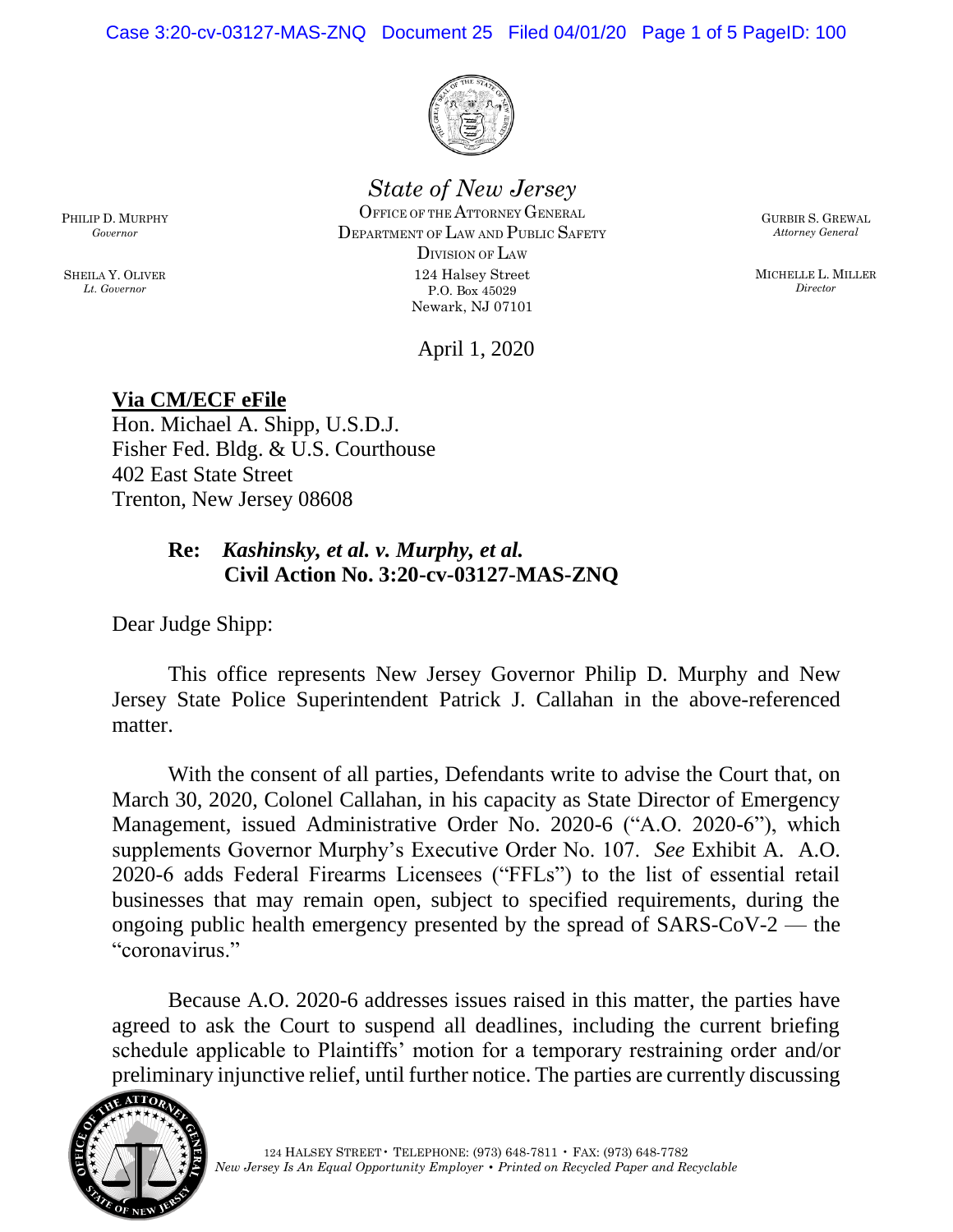Case 3:20-cv-03127-MAS-ZNQ Document 25 Filed 04/01/20 Page 1 of 5 PageID: 100



## *State of New Jersey*

OFFICE OF THE ATTORNEY GENERAL DEPARTMENT OF LAW AND PUBLIC SAFETY DIVISION OF LAW 124 Halsey Street P.O. Box 45029 Newark, NJ 07101

GURBIR S. GREWAL *Attorney General*

MICHELLE L. MILLER *Director*

April 1, 2020

## **Via CM/ECF eFile**

Hon. Michael A. Shipp, U.S.D.J. Fisher Fed. Bldg. & U.S. Courthouse 402 East State Street Trenton, New Jersey 08608

### **Re:** *Kashinsky, et al. v. Murphy, et al.* **Civil Action No. 3:20-cv-03127-MAS-ZNQ**

Dear Judge Shipp:

This office represents New Jersey Governor Philip D. Murphy and New Jersey State Police Superintendent Patrick J. Callahan in the above-referenced matter.

With the consent of all parties, Defendants write to advise the Court that, on March 30, 2020, Colonel Callahan, in his capacity as State Director of Emergency Management, issued Administrative Order No. 2020-6 ("A.O. 2020-6"), which supplements Governor Murphy's Executive Order No. 107. *See* Exhibit A. A.O. 2020-6 adds Federal Firearms Licensees ("FFLs") to the list of essential retail businesses that may remain open, subject to specified requirements, during the ongoing public health emergency presented by the spread of SARS-CoV-2 — the "coronavirus."

Because A.O. 2020-6 addresses issues raised in this matter, the parties have agreed to ask the Court to suspend all deadlines, including the current briefing schedule applicable to Plaintiffs' motion for a temporary restraining order and/or preliminary injunctive relief, until further notice. The parties are currently discussing



PHILIP D. MURPHY *Governor*

SHEILA Y. OLIVER *Lt. Governor*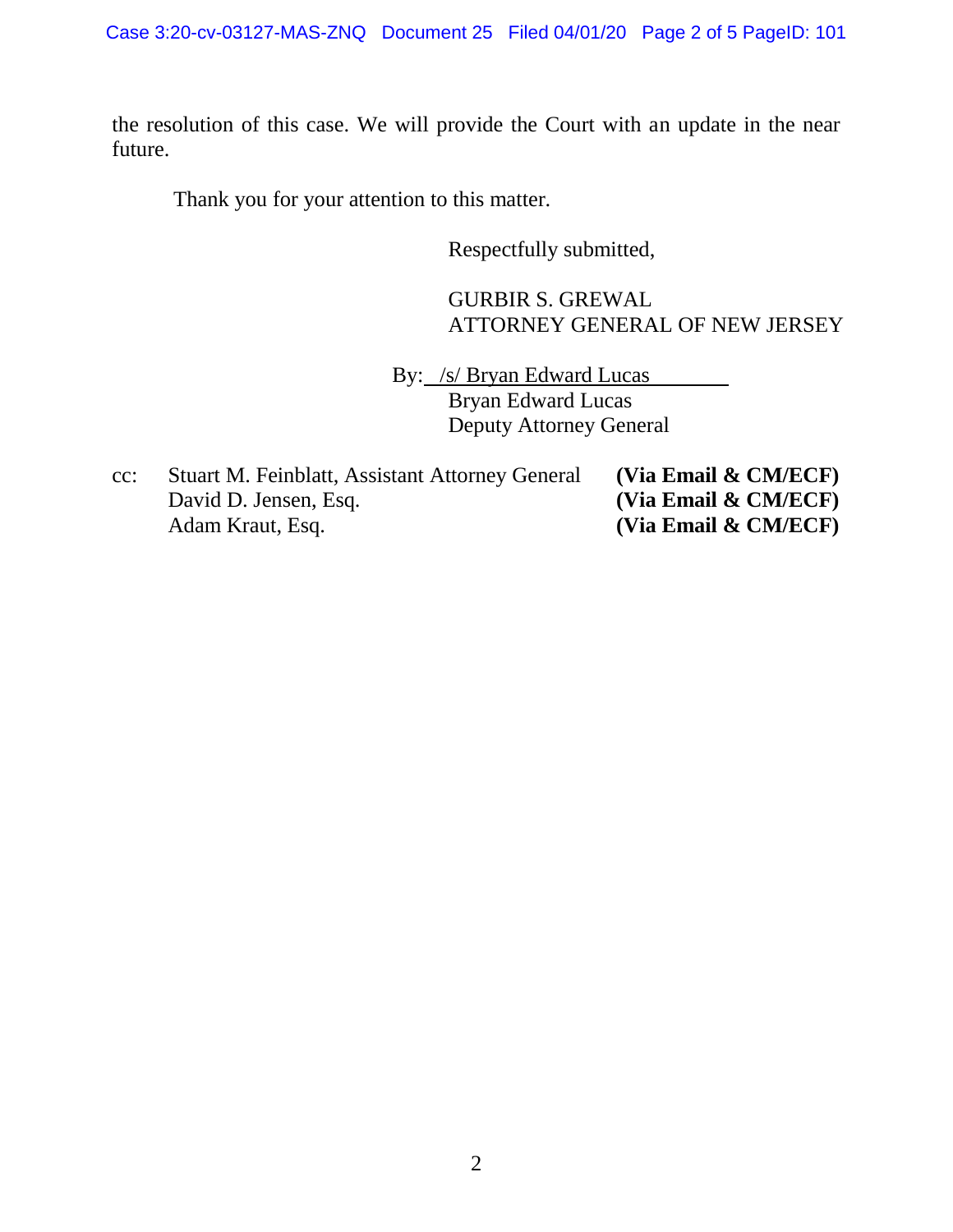the resolution of this case. We will provide the Court with an update in the near future.

Thank you for your attention to this matter.

Respectfully submitted,

GURBIR S. GREWAL ATTORNEY GENERAL OF NEW JERSEY

By: /s/ Bryan Edward Lucas Bryan Edward Lucas Deputy Attorney General

cc: Stuart M. Feinblatt, Assistant Attorney General **(Via Email & CM/ECF)** David D. Jensen, Esq. **(Via Email & CM/ECF)** Adam Kraut, Esq. **(Via Email & CM/ECF)**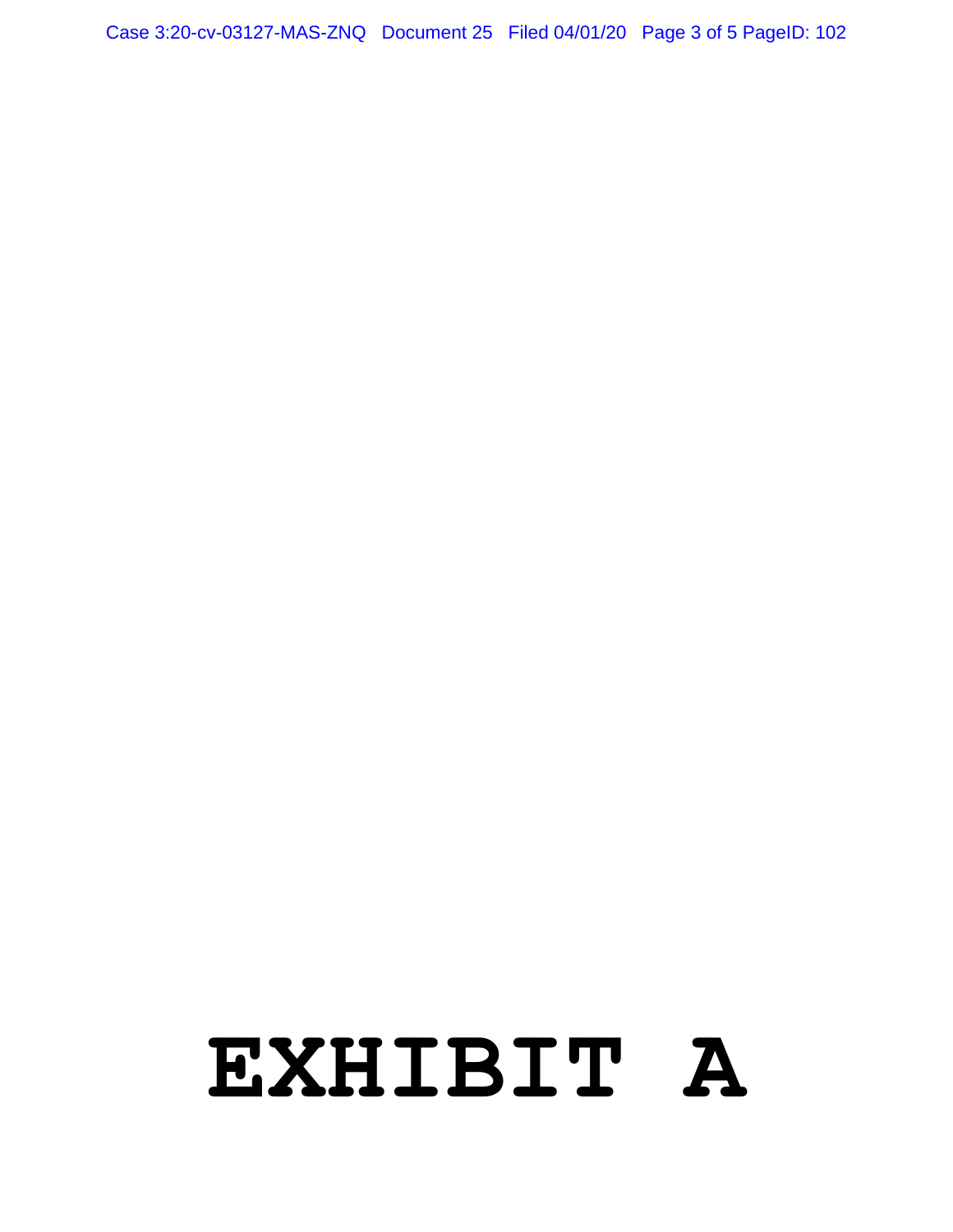# **EXHIBIT A**

Case 3:20-cv-03127-MAS-ZNQ Document 25 Filed 04/01/20 Page 3 of 5 PageID: 102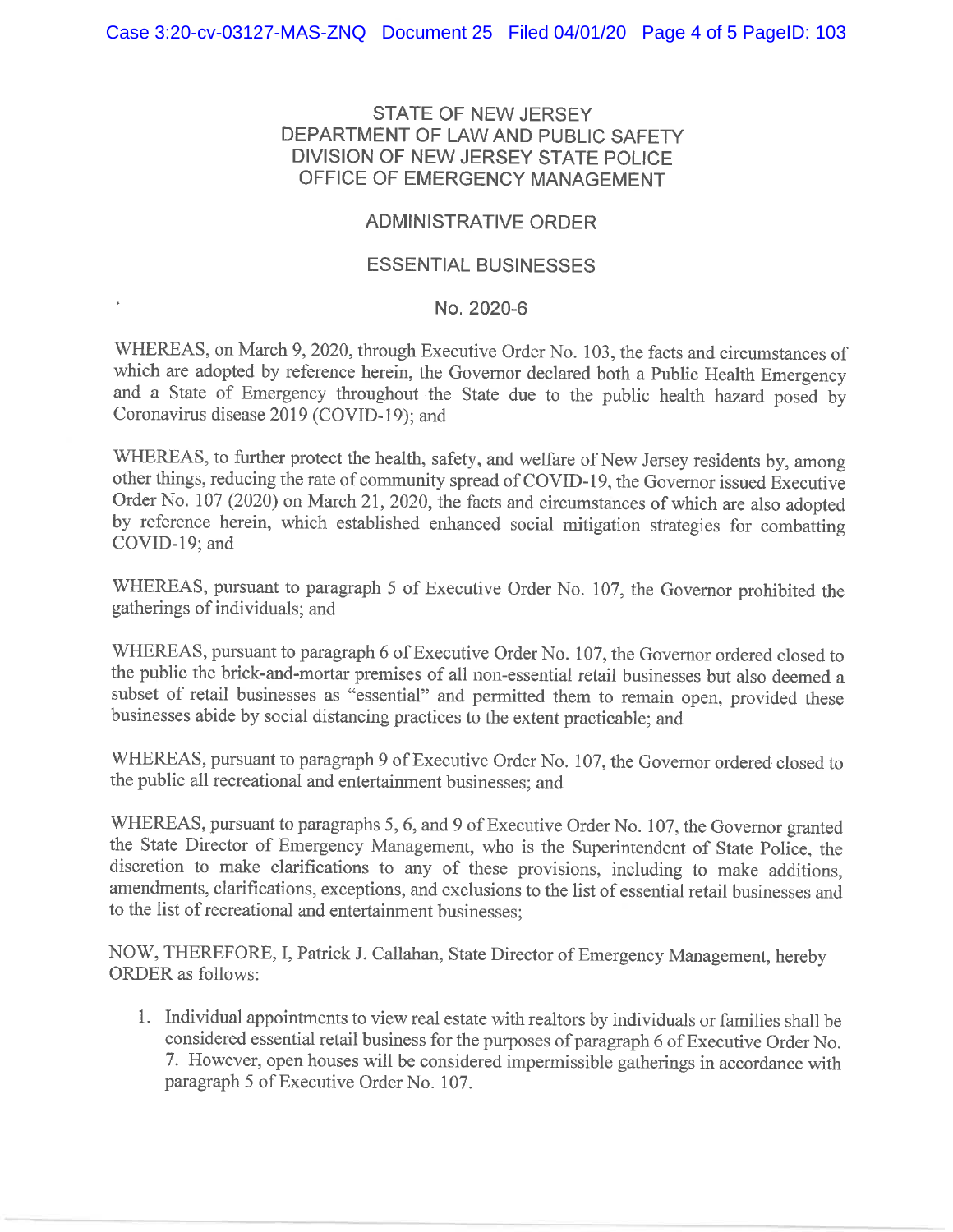#### **STATE OF NEW JERSEY** DEPARTMENT OF LAW AND PUBLIC SAFETY DIVISION OF NEW JERSEY STATE POLICE OFFICE OF EMERGENCY MANAGEMENT

#### **ADMINISTRATIVE ORDER**

#### **ESSENTIAL BUSINESSES**

#### No. 2020-6

WHEREAS, on March 9, 2020, through Executive Order No. 103, the facts and circumstances of which are adopted by reference herein, the Governor declared both a Public Health Emergency and a State of Emergency throughout the State due to the public health hazard posed by Coronavirus disease 2019 (COVID-19); and

WHEREAS, to further protect the health, safety, and welfare of New Jersey residents by, among other things, reducing the rate of community spread of COVID-19, the Governor issued Executive Order No. 107 (2020) on March 21, 2020, the facts and circumstances of which are also adopted by reference herein, which established enhanced social mitigation strategies for combatting COVID-19; and

WHEREAS, pursuant to paragraph 5 of Executive Order No. 107, the Governor prohibited the gatherings of individuals; and

WHEREAS, pursuant to paragraph 6 of Executive Order No. 107, the Governor ordered closed to the public the brick-and-mortar premises of all non-essential retail businesses but also deemed a subset of retail businesses as "essential" and permitted them to remain open, provided these businesses abide by social distancing practices to the extent practicable; and

WHEREAS, pursuant to paragraph 9 of Executive Order No. 107, the Governor ordered closed to the public all recreational and entertainment businesses; and

WHEREAS, pursuant to paragraphs 5, 6, and 9 of Executive Order No. 107, the Governor granted the State Director of Emergency Management, who is the Superintendent of State Police, the discretion to make clarifications to any of these provisions, including to make additions, amendments, clarifications, exceptions, and exclusions to the list of essential retail businesses and to the list of recreational and entertainment businesses;

NOW, THEREFORE, I, Patrick J. Callahan, State Director of Emergency Management, hereby **ORDER** as follows:

1. Individual appointments to view real estate with realtors by individuals or families shall be considered essential retail business for the purposes of paragraph 6 of Executive Order No. 7. However, open houses will be considered impermissible gatherings in accordance with paragraph 5 of Executive Order No. 107.